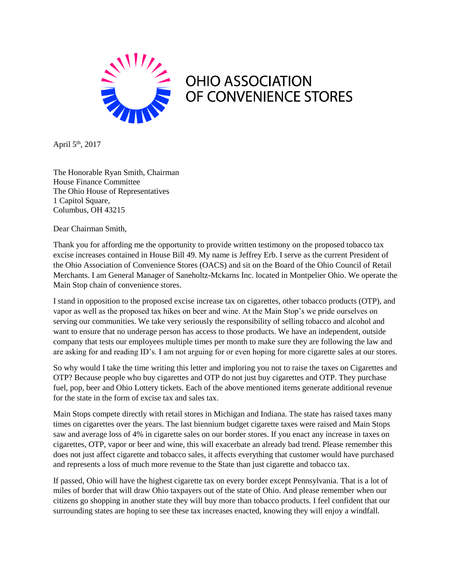

April 5th, 2017

The Honorable Ryan Smith, Chairman House Finance Committee The Ohio House of Representatives 1 Capitol Square, Columbus, OH 43215

Dear Chairman Smith,

Thank you for affording me the opportunity to provide written testimony on the proposed tobacco tax excise increases contained in House Bill 49. My name is Jeffrey Erb. I serve as the current President of the Ohio Association of Convenience Stores (OACS) and sit on the Board of the Ohio Council of Retail Merchants. I am General Manager of Saneholtz-Mckarns Inc. located in Montpelier Ohio. We operate the Main Stop chain of convenience stores.

I stand in opposition to the proposed excise increase tax on cigarettes, other tobacco products (OTP), and vapor as well as the proposed tax hikes on beer and wine. At the Main Stop's we pride ourselves on serving our communities. We take very seriously the responsibility of selling tobacco and alcohol and want to ensure that no underage person has access to those products. We have an independent, outside company that tests our employees multiple times per month to make sure they are following the law and are asking for and reading ID's. I am not arguing for or even hoping for more cigarette sales at our stores.

So why would I take the time writing this letter and imploring you not to raise the taxes on Cigarettes and OTP? Because people who buy cigarettes and OTP do not just buy cigarettes and OTP. They purchase fuel, pop, beer and Ohio Lottery tickets. Each of the above mentioned items generate additional revenue for the state in the form of excise tax and sales tax.

Main Stops compete directly with retail stores in Michigan and Indiana. The state has raised taxes many times on cigarettes over the years. The last biennium budget cigarette taxes were raised and Main Stops saw and average loss of 4% in cigarette sales on our border stores. If you enact any increase in taxes on cigarettes, OTP, vapor or beer and wine, this will exacerbate an already bad trend. Please remember this does not just affect cigarette and tobacco sales, it affects everything that customer would have purchased and represents a loss of much more revenue to the State than just cigarette and tobacco tax.

If passed, Ohio will have the highest cigarette tax on every border except Pennsylvania. That is a lot of miles of border that will draw Ohio taxpayers out of the state of Ohio. And please remember when our citizens go shopping in another state they will buy more than tobacco products. I feel confident that our surrounding states are hoping to see these tax increases enacted, knowing they will enjoy a windfall.